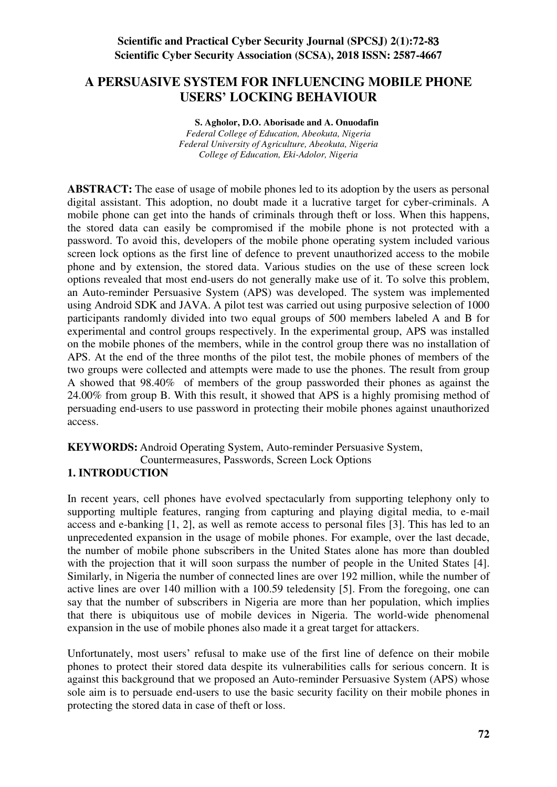# **A PERSUASIVE SYSTEM FOR INFLUENCING MOBILE PHONE USERS' LOCKING BEHAVIOUR**

**S. Agholor, D.O. Aborisade and A. Onuodafin**  *Federal College of Education, Abeokuta, Nigeria Federal University of Agriculture, Abeokuta, Nigeria College of Education, Eki-Adolor, Nigeria*

**ABSTRACT:** The ease of usage of mobile phones led to its adoption by the users as personal digital assistant. This adoption, no doubt made it a lucrative target for cyber-criminals. A mobile phone can get into the hands of criminals through theft or loss. When this happens, the stored data can easily be compromised if the mobile phone is not protected with a password. To avoid this, developers of the mobile phone operating system included various screen lock options as the first line of defence to prevent unauthorized access to the mobile phone and by extension, the stored data. Various studies on the use of these screen lock options revealed that most end-users do not generally make use of it. To solve this problem, an Auto-reminder Persuasive System (APS) was developed. The system was implemented using Android SDK and JAVA. A pilot test was carried out using purposive selection of 1000 participants randomly divided into two equal groups of 500 members labeled A and B for experimental and control groups respectively. In the experimental group, APS was installed on the mobile phones of the members, while in the control group there was no installation of APS. At the end of the three months of the pilot test, the mobile phones of members of the two groups were collected and attempts were made to use the phones. The result from group A showed that 98.40% of members of the group passworded their phones as against the 24.00% from group B. With this result, it showed that APS is a highly promising method of persuading end-users to use password in protecting their mobile phones against unauthorized access.

## **KEYWORDS:** Android Operating System, Auto-reminder Persuasive System,

Countermeasures, Passwords, Screen Lock Options

### **1. INTRODUCTION**

In recent years, cell phones have evolved spectacularly from supporting telephony only to supporting multiple features, ranging from capturing and playing digital media, to e-mail access and e-banking [1, 2], as well as remote access to personal files [3]. This has led to an unprecedented expansion in the usage of mobile phones. For example, over the last decade, the number of mobile phone subscribers in the United States alone has more than doubled with the projection that it will soon surpass the number of people in the United States [4]. Similarly, in Nigeria the number of connected lines are over 192 million, while the number of active lines are over 140 million with a 100.59 teledensity [5]. From the foregoing, one can say that the number of subscribers in Nigeria are more than her population, which implies that there is ubiquitous use of mobile devices in Nigeria. The world-wide phenomenal expansion in the use of mobile phones also made it a great target for attackers.

Unfortunately, most users' refusal to make use of the first line of defence on their mobile phones to protect their stored data despite its vulnerabilities calls for serious concern. It is against this background that we proposed an Auto-reminder Persuasive System (APS) whose sole aim is to persuade end-users to use the basic security facility on their mobile phones in protecting the stored data in case of theft or loss.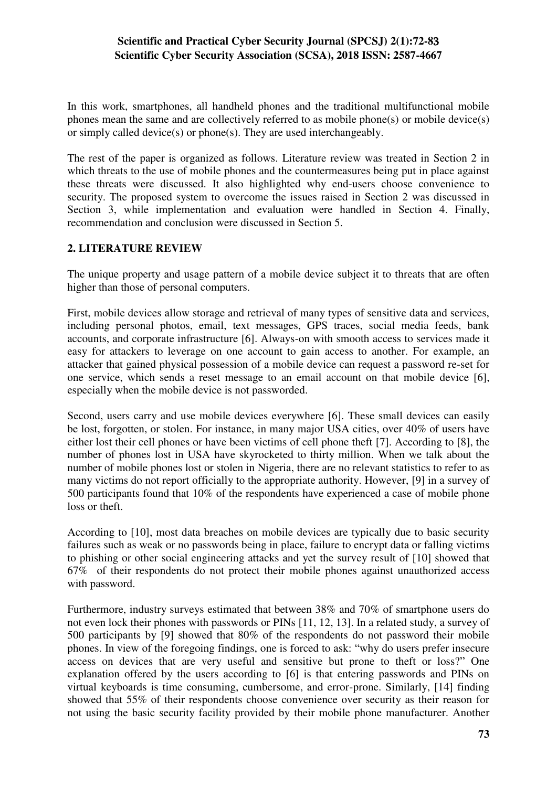In this work, smartphones, all handheld phones and the traditional multifunctional mobile phones mean the same and are collectively referred to as mobile phone(s) or mobile device(s) or simply called device(s) or phone(s). They are used interchangeably.

The rest of the paper is organized as follows. Literature review was treated in Section 2 in which threats to the use of mobile phones and the countermeasures being put in place against these threats were discussed. It also highlighted why end-users choose convenience to security. The proposed system to overcome the issues raised in Section 2 was discussed in Section 3, while implementation and evaluation were handled in Section 4. Finally, recommendation and conclusion were discussed in Section 5.

### **2. LITERATURE REVIEW**

The unique property and usage pattern of a mobile device subject it to threats that are often higher than those of personal computers.

First, mobile devices allow storage and retrieval of many types of sensitive data and services, including personal photos, email, text messages, GPS traces, social media feeds, bank accounts, and corporate infrastructure [6]. Always-on with smooth access to services made it easy for attackers to leverage on one account to gain access to another. For example, an attacker that gained physical possession of a mobile device can request a password re-set for one service, which sends a reset message to an email account on that mobile device [6], especially when the mobile device is not passworded.

Second, users carry and use mobile devices everywhere [6]. These small devices can easily be lost, forgotten, or stolen. For instance, in many major USA cities, over 40% of users have either lost their cell phones or have been victims of cell phone theft [7]. According to [8], the number of phones lost in USA have skyrocketed to thirty million. When we talk about the number of mobile phones lost or stolen in Nigeria, there are no relevant statistics to refer to as many victims do not report officially to the appropriate authority. However, [9] in a survey of 500 participants found that 10% of the respondents have experienced a case of mobile phone loss or theft.

According to [10], most data breaches on mobile devices are typically due to basic security failures such as weak or no passwords being in place, failure to encrypt data or falling victims to phishing or other social engineering attacks and yet the survey result of [10] showed that 67% of their respondents do not protect their mobile phones against unauthorized access with password.

Furthermore, industry surveys estimated that between 38% and 70% of smartphone users do not even lock their phones with passwords or PINs [11, 12, 13]. In a related study, a survey of 500 participants by [9] showed that 80% of the respondents do not password their mobile phones. In view of the foregoing findings, one is forced to ask: "why do users prefer insecure access on devices that are very useful and sensitive but prone to theft or loss?" One explanation offered by the users according to [6] is that entering passwords and PINs on virtual keyboards is time consuming, cumbersome, and error-prone. Similarly, [14] finding showed that 55% of their respondents choose convenience over security as their reason for not using the basic security facility provided by their mobile phone manufacturer. Another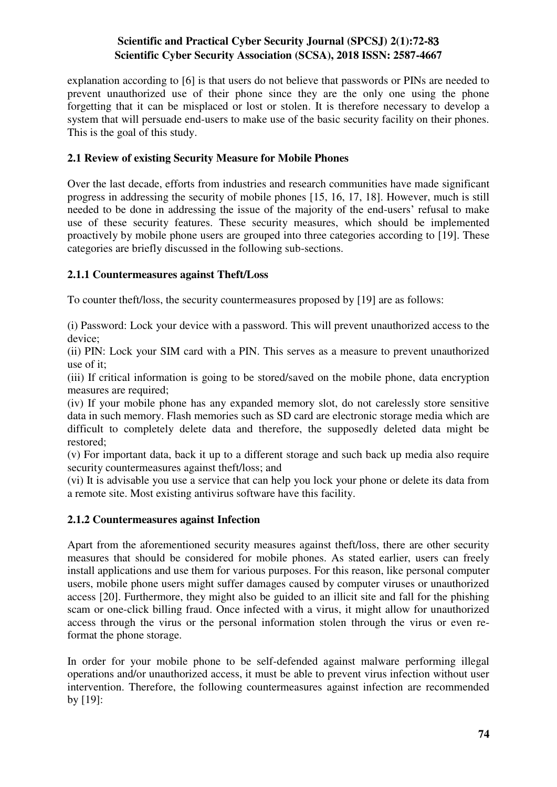explanation according to [6] is that users do not believe that passwords or PINs are needed to prevent unauthorized use of their phone since they are the only one using the phone forgetting that it can be misplaced or lost or stolen. It is therefore necessary to develop a system that will persuade end-users to make use of the basic security facility on their phones. This is the goal of this study.

## **2.1 Review of existing Security Measure for Mobile Phones**

Over the last decade, efforts from industries and research communities have made significant progress in addressing the security of mobile phones [15, 16, 17, 18]. However, much is still needed to be done in addressing the issue of the majority of the end-users' refusal to make use of these security features. These security measures, which should be implemented proactively by mobile phone users are grouped into three categories according to [19]. These categories are briefly discussed in the following sub-sections.

## **2.1.1 Countermeasures against Theft/Loss**

To counter theft/loss, the security countermeasures proposed by [19] are as follows:

(i) Password: Lock your device with a password. This will prevent unauthorized access to the device;

(ii) PIN: Lock your SIM card with a PIN. This serves as a measure to prevent unauthorized use of it;

(iii) If critical information is going to be stored/saved on the mobile phone, data encryption measures are required;

(iv) If your mobile phone has any expanded memory slot, do not carelessly store sensitive data in such memory. Flash memories such as SD card are electronic storage media which are difficult to completely delete data and therefore, the supposedly deleted data might be restored;

(v) For important data, back it up to a different storage and such back up media also require security countermeasures against theft/loss; and

(vi) It is advisable you use a service that can help you lock your phone or delete its data from a remote site. Most existing antivirus software have this facility.

### **2.1.2 Countermeasures against Infection**

Apart from the aforementioned security measures against theft/loss, there are other security measures that should be considered for mobile phones. As stated earlier, users can freely install applications and use them for various purposes. For this reason, like personal computer users, mobile phone users might suffer damages caused by computer viruses or unauthorized access [20]. Furthermore, they might also be guided to an illicit site and fall for the phishing scam or one-click billing fraud. Once infected with a virus, it might allow for unauthorized access through the virus or the personal information stolen through the virus or even reformat the phone storage.

In order for your mobile phone to be self-defended against malware performing illegal operations and/or unauthorized access, it must be able to prevent virus infection without user intervention. Therefore, the following countermeasures against infection are recommended by [19]: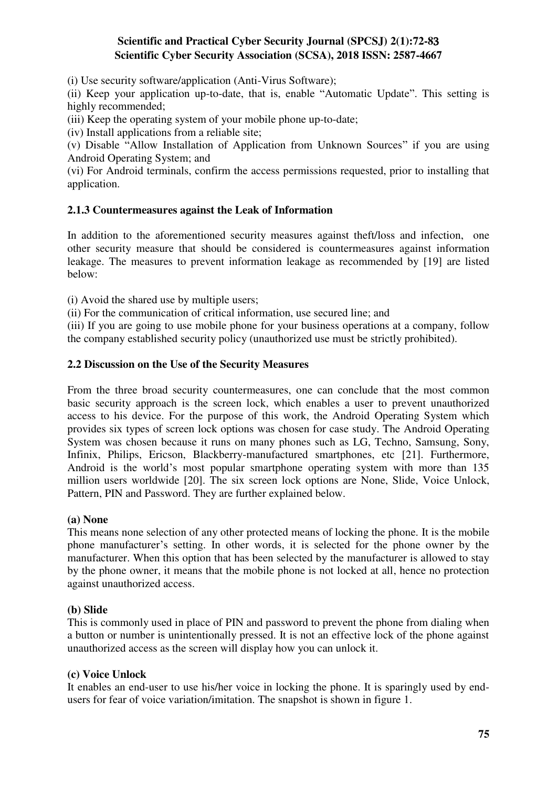(i) Use security software/application (Anti-Virus Software);

(ii) Keep your application up-to-date, that is, enable "Automatic Update". This setting is highly recommended;

(iii) Keep the operating system of your mobile phone up-to-date;

(iv) Install applications from a reliable site;

(v) Disable "Allow Installation of Application from Unknown Sources" if you are using Android Operating System; and

(vi) For Android terminals, confirm the access permissions requested, prior to installing that application.

## **2.1.3 Countermeasures against the Leak of Information**

In addition to the aforementioned security measures against theft/loss and infection, one other security measure that should be considered is countermeasures against information leakage. The measures to prevent information leakage as recommended by [19] are listed below:

(i) Avoid the shared use by multiple users;

(ii) For the communication of critical information, use secured line; and

(iii) If you are going to use mobile phone for your business operations at a company, follow the company established security policy (unauthorized use must be strictly prohibited).

### **2.2 Discussion on the Use of the Security Measures**

From the three broad security countermeasures, one can conclude that the most common basic security approach is the screen lock, which enables a user to prevent unauthorized access to his device. For the purpose of this work, the Android Operating System which provides six types of screen lock options was chosen for case study. The Android Operating System was chosen because it runs on many phones such as LG, Techno, Samsung, Sony, Infinix, Philips, Ericson, Blackberry-manufactured smartphones, etc [21]. Furthermore, Android is the world's most popular smartphone operating system with more than 135 million users worldwide [20]. The six screen lock options are None, Slide, Voice Unlock, Pattern, PIN and Password. They are further explained below.

#### **(a) None**

This means none selection of any other protected means of locking the phone. It is the mobile phone manufacturer's setting. In other words, it is selected for the phone owner by the manufacturer. When this option that has been selected by the manufacturer is allowed to stay by the phone owner, it means that the mobile phone is not locked at all, hence no protection against unauthorized access.

#### **(b) Slide**

This is commonly used in place of PIN and password to prevent the phone from dialing when a button or number is unintentionally pressed. It is not an effective lock of the phone against unauthorized access as the screen will display how you can unlock it.

### **(c) Voice Unlock**

It enables an end-user to use his/her voice in locking the phone. It is sparingly used by endusers for fear of voice variation/imitation. The snapshot is shown in figure 1.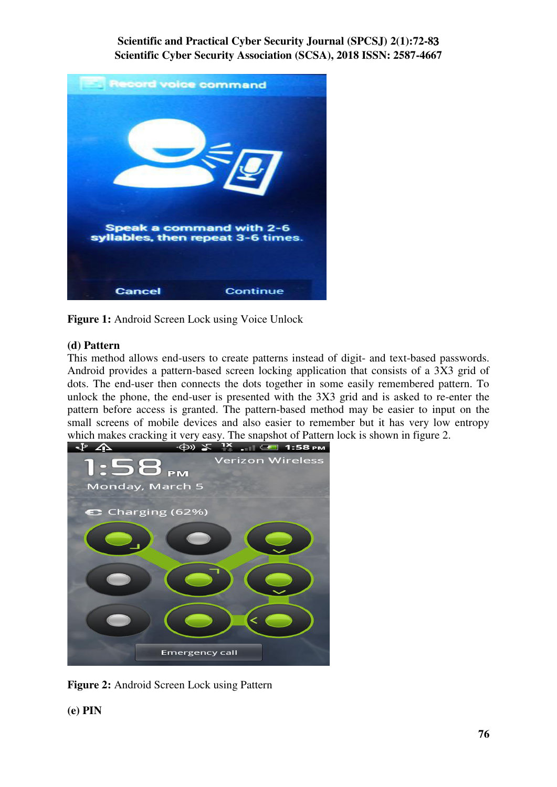

**Figure 1:** Android Screen Lock using Voice Unlock

### **(d) Pattern**

This method allows end-users to create patterns instead of digit- and text-based passwords. Android provides a pattern-based screen locking application that consists of a 3X3 grid of dots. The end-user then connects the dots together in some easily remembered pattern. To unlock the phone, the end-user is presented with the 3X3 grid and is asked to re-enter the pattern before access is granted. The pattern-based method may be easier to input on the small screens of mobile devices and also easier to remember but it has very low entropy which makes cracking it very easy. The snapshot of Pattern lock is shown in figure 2.<br>  $\begin{array}{ccc}\n\downarrow^{\mathbf{P}} & \downarrow^{\mathbf{P}} & \downarrow^{\mathbf{P}}\n\end{array}$ 



**Figure 2:** Android Screen Lock using Pattern

**(e) PIN**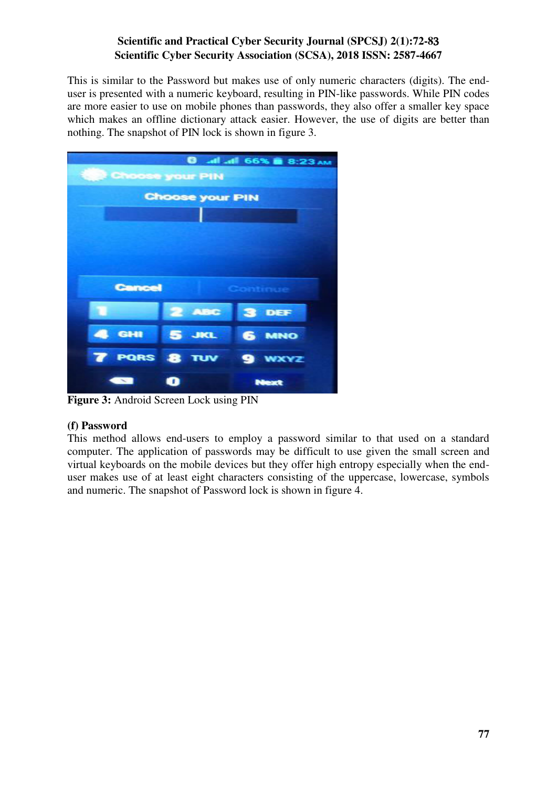This is similar to the Password but makes use of only numeric characters (digits). The enduser is presented with a numeric keyboard, resulting in PIN-like passwords. While PIN codes are more easier to use on mobile phones than passwords, they also offer a smaller key space which makes an offline dictionary attack easier. However, the use of digits are better than nothing. The snapshot of PIN lock is shown in figure 3.

|                             |                        | 8:23 AM 66% 8:23 AM |  |  |
|-----------------------------|------------------------|---------------------|--|--|
| <b>Rest Choose your PIN</b> |                        |                     |  |  |
|                             | <b>Choose your PIN</b> |                     |  |  |
|                             |                        |                     |  |  |
|                             |                        |                     |  |  |
|                             |                        |                     |  |  |
|                             |                        |                     |  |  |
| <b>Cancel</b><br>Continue   |                        |                     |  |  |
|                             | <b>2 ABC</b>           | 3 DEF               |  |  |
| 4 GHI                       | $5 - 3$                | <b>6 MNO</b>        |  |  |
|                             | <b>7 PORS 8 TUV</b>    | <b>9 WXYZ</b>       |  |  |
| $\sim$                      | o                      | Next                |  |  |

**Figure 3:** Android Screen Lock using PIN

### **(f) Password**

This method allows end-users to employ a password similar to that used on a standard computer. The application of passwords may be difficult to use given the small screen and virtual keyboards on the mobile devices but they offer high entropy especially when the enduser makes use of at least eight characters consisting of the uppercase, lowercase, symbols and numeric. The snapshot of Password lock is shown in figure 4.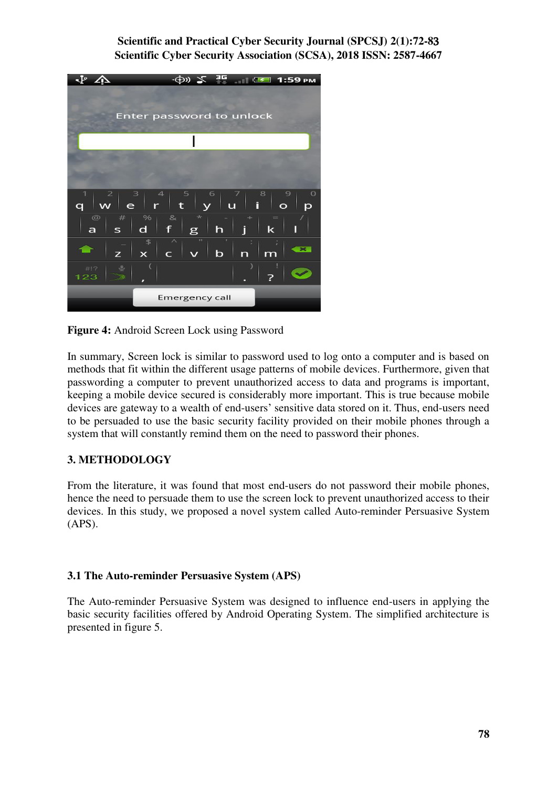

**Figure 4:** Android Screen Lock using Password

In summary, Screen lock is similar to password used to log onto a computer and is based on methods that fit within the different usage patterns of mobile devices. Furthermore, given that passwording a computer to prevent unauthorized access to data and programs is important, keeping a mobile device secured is considerably more important. This is true because mobile devices are gateway to a wealth of end-users' sensitive data stored on it. Thus, end-users need to be persuaded to use the basic security facility provided on their mobile phones through a system that will constantly remind them on the need to password their phones.

## **3. METHODOLOGY**

From the literature, it was found that most end-users do not password their mobile phones, hence the need to persuade them to use the screen lock to prevent unauthorized access to their devices. In this study, we proposed a novel system called Auto-reminder Persuasive System (APS).

### **3.1 The Auto-reminder Persuasive System (APS)**

The Auto-reminder Persuasive System was designed to influence end-users in applying the basic security facilities offered by Android Operating System. The simplified architecture is presented in figure 5.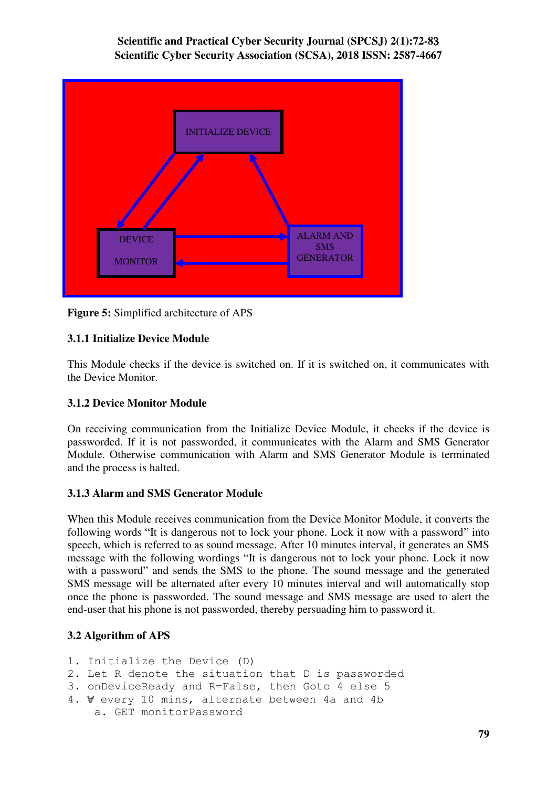

**Figure 5:** Simplified architecture of APS

# **3.1.1 Initialize Device Module**

This Module checks if the device is switched on. If it is switched on, it communicates with the Device Monitor.

## **3.1.2 Device Monitor Module**

On receiving communication from the Initialize Device Module, it checks if the device is passworded. If it is not passworded, it communicates with the Alarm and SMS Generator Module. Otherwise communication with Alarm and SMS Generator Module is terminated and the process is halted.

## **3.1.3 Alarm and SMS Generator Module**

When this Module receives communication from the Device Monitor Module, it converts the following words "It is dangerous not to lock your phone. Lock it now with a password" into speech, which is referred to as sound message. After 10 minutes interval, it generates an SMS message with the following wordings "It is dangerous not to lock your phone. Lock it now with a password" and sends the SMS to the phone. The sound message and the generated SMS message will be alternated after every 10 minutes interval and will automatically stop once the phone is passworded. The sound message and SMS message are used to alert the end-user that his phone is not passworded, thereby persuading him to password it.

# **3.2 Algorithm of APS**

```
1. Initialize the Device (D) 
2. Let R denote the situation that D is passworded 
3. onDeviceReady and R=False, then Goto 4 else 5 
4. V every 10 mins, alternate between 4a and 4b
     a. GET monitorPassword
```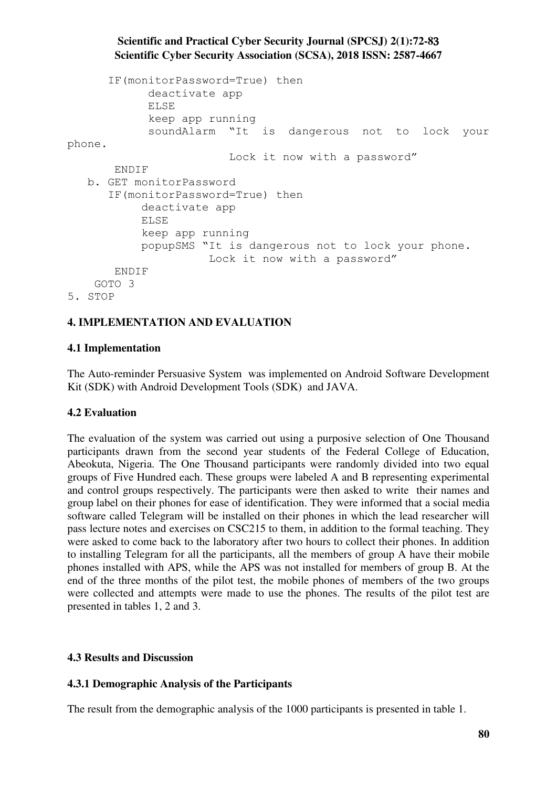```
 IF(monitorPassword=True) then 
              deactivate app 
              ELSE 
              keep app running 
              soundAlarm "It is dangerous not to lock your 
phone. 
                           Lock it now with a password"
        ENDIF 
    b. GET monitorPassword 
       IF(monitorPassword=True) then 
             deactivate app 
             ELSE 
             keep app running 
             popupSMS "It is dangerous not to lock your phone. 
                        Lock it now with a password"
        ENDIF 
     GOTO 3 
5. STOP
```
# **4. IMPLEMENTATION AND EVALUATION**

### **4.1 Implementation**

The Auto-reminder Persuasive System was implemented on Android Software Development Kit (SDK) with Android Development Tools (SDK) and JAVA.

### **4.2 Evaluation**

The evaluation of the system was carried out using a purposive selection of One Thousand participants drawn from the second year students of the Federal College of Education, Abeokuta, Nigeria. The One Thousand participants were randomly divided into two equal groups of Five Hundred each. These groups were labeled A and B representing experimental and control groups respectively. The participants were then asked to write their names and group label on their phones for ease of identification. They were informed that a social media software called Telegram will be installed on their phones in which the lead researcher will pass lecture notes and exercises on CSC215 to them, in addition to the formal teaching. They were asked to come back to the laboratory after two hours to collect their phones. In addition to installing Telegram for all the participants, all the members of group A have their mobile phones installed with APS, while the APS was not installed for members of group B. At the end of the three months of the pilot test, the mobile phones of members of the two groups were collected and attempts were made to use the phones. The results of the pilot test are presented in tables 1, 2 and 3.

### **4.3 Results and Discussion**

### **4.3.1 Demographic Analysis of the Participants**

The result from the demographic analysis of the 1000 participants is presented in table 1.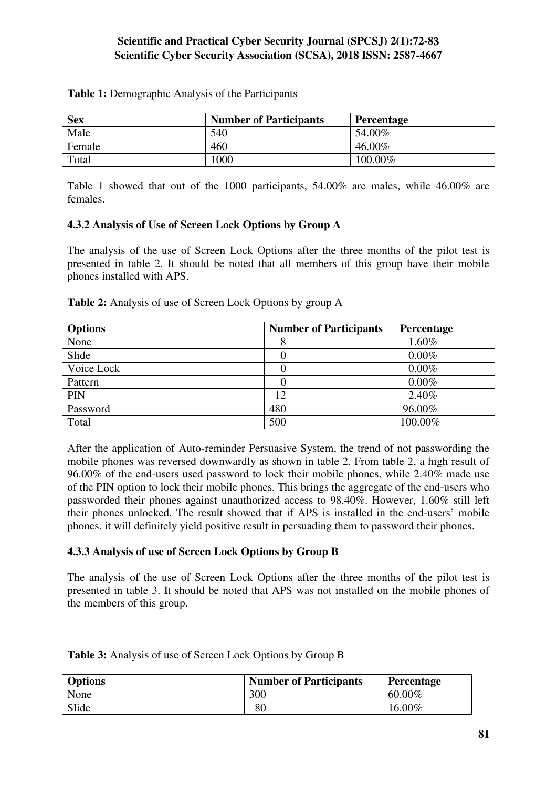| <b>Sex</b> | <b>Number of Participants</b> | <b>Percentage</b> |
|------------|-------------------------------|-------------------|
| Male       | 540                           | 54.00%            |
| Female     | 460                           | 46.00%            |
| Total      | 1000                          | 100.00%           |

**Table 1:** Demographic Analysis of the Participants

Table 1 showed that out of the 1000 participants, 54.00% are males, while 46.00% are females.

#### **4.3.2 Analysis of Use of Screen Lock Options by Group A**

The analysis of the use of Screen Lock Options after the three months of the pilot test is presented in table 2. It should be noted that all members of this group have their mobile phones installed with APS.

| $\Omega$ <sub>n</sub> $\Omega$ <sub>na</sub>                      | Number of Doutioinants | $\mathbf{D}_{\alpha}$ |
|-------------------------------------------------------------------|------------------------|-----------------------|
| <b>Table 2:</b> Analysis of use of Screen Lock Options by group A |                        |                       |

| <b>Options</b> | <b>Number of Participants</b> | Percentage |
|----------------|-------------------------------|------------|
| None           | 8                             | 1.60%      |
| Slide          |                               | $0.00\%$   |
| Voice Lock     |                               | $0.00\%$   |
| Pattern        |                               | $0.00\%$   |
| PIN            | 12                            | 2.40%      |
| Password       | 480                           | 96.00%     |
| Total          | 500                           | 100.00%    |

After the application of Auto-reminder Persuasive System, the trend of not passwording the mobile phones was reversed downwardly as shown in table 2. From table 2, a high result of 96.00% of the end-users used password to lock their mobile phones, while 2.40% made use of the PIN option to lock their mobile phones. This brings the aggregate of the end-users who passworded their phones against unauthorized access to 98.40%. However, 1.60% still left their phones unlocked. The result showed that if APS is installed in the end-users' mobile phones, it will definitely yield positive result in persuading them to password their phones.

### **4.3.3 Analysis of use of Screen Lock Options by Group B**

The analysis of the use of Screen Lock Options after the three months of the pilot test is presented in table 3. It should be noted that APS was not installed on the mobile phones of the members of this group.

| <b>Options</b> | <b>Number of Participants</b> | Percentage |
|----------------|-------------------------------|------------|
| None           | 300                           | $60.00\%$  |
| Slide          | 80                            | 16.00%     |

**Table 3:** Analysis of use of Screen Lock Options by Group B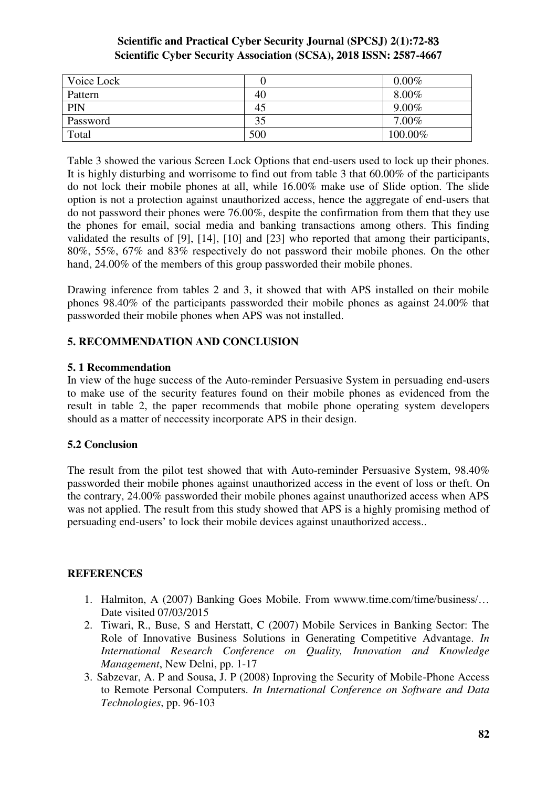| Voice Lock |     | $0.00\%$ |
|------------|-----|----------|
| Pattern    | 40  | $8.00\%$ |
| PIN        | 45  | $9.00\%$ |
| Password   | 35  | $7.00\%$ |
| Total      | 500 | 100.00%  |

Table 3 showed the various Screen Lock Options that end-users used to lock up their phones. It is highly disturbing and worrisome to find out from table 3 that 60.00% of the participants do not lock their mobile phones at all, while 16.00% make use of Slide option. The slide option is not a protection against unauthorized access, hence the aggregate of end-users that do not password their phones were 76.00%, despite the confirmation from them that they use the phones for email, social media and banking transactions among others. This finding validated the results of [9], [14], [10] and [23] who reported that among their participants, 80%, 55%, 67% and 83% respectively do not password their mobile phones. On the other hand, 24.00% of the members of this group passworded their mobile phones.

Drawing inference from tables 2 and 3, it showed that with APS installed on their mobile phones 98.40% of the participants passworded their mobile phones as against 24.00% that passworded their mobile phones when APS was not installed.

## **5. RECOMMENDATION AND CONCLUSION**

## **5. 1 Recommendation**

In view of the huge success of the Auto-reminder Persuasive System in persuading end-users to make use of the security features found on their mobile phones as evidenced from the result in table 2, the paper recommends that mobile phone operating system developers should as a matter of neccessity incorporate APS in their design.

## **5.2 Conclusion**

The result from the pilot test showed that with Auto-reminder Persuasive System, 98.40% passworded their mobile phones against unauthorized access in the event of loss or theft. On the contrary, 24.00% passworded their mobile phones against unauthorized access when APS was not applied. The result from this study showed that APS is a highly promising method of persuading end-users' to lock their mobile devices against unauthorized access..

## **REFERENCES**

- 1. Halmiton, A (2007) Banking Goes Mobile. From wwww.time.com/time/business/… Date visited 07/03/2015
- 2. Tiwari, R., Buse, S and Herstatt, C (2007) Mobile Services in Banking Sector: The Role of Innovative Business Solutions in Generating Competitive Advantage. *In International Research Conference on Quality, Innovation and Knowledge Management*, New Delni, pp. 1-17
- 3. Sabzevar, A. P and Sousa, J. P (2008) Inproving the Security of Mobile-Phone Access to Remote Personal Computers. *In International Conference on Software and Data Technologies*, pp. 96-103